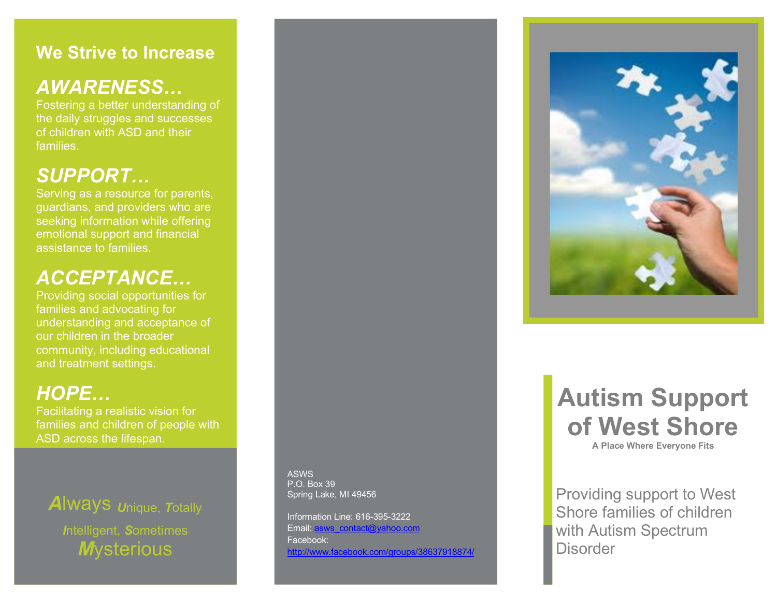#### **We Strive to Increase**

### *AWARENESS…*

Fostering a better understanding of the daily struggles and successes of children with ASD and their families.

## *SUPPORT…*

Serving as a resource for parents, guardians, and providers who are seeking information while offering emotional support and financial assistance to families.

## *ACCEPTANCE…*

Providing social opportunities for families and advocating for understanding and acceptance of our children in the broader community, including educational and treatment settings.

## *HOPE…*

Facilitating a realistic vision for families and children of people with ASD across the lifespan.

## *A*lways *U*nique, *T*otally

*I*ntelligent, *S*ometimes *M*ysterious

ASWS P.O. Box 39 Spring Lake, MI 49456

Information Line: 616-395-3222 Email: asws\_contact@yahoo.com Facebook: http://www.facebook.com/groups/38637918874/



## **Autism Support of West Shore**

**A Place Where Everyone Fits**

Providing support to West Shore families of children with Autism Spectrum **Disorder**